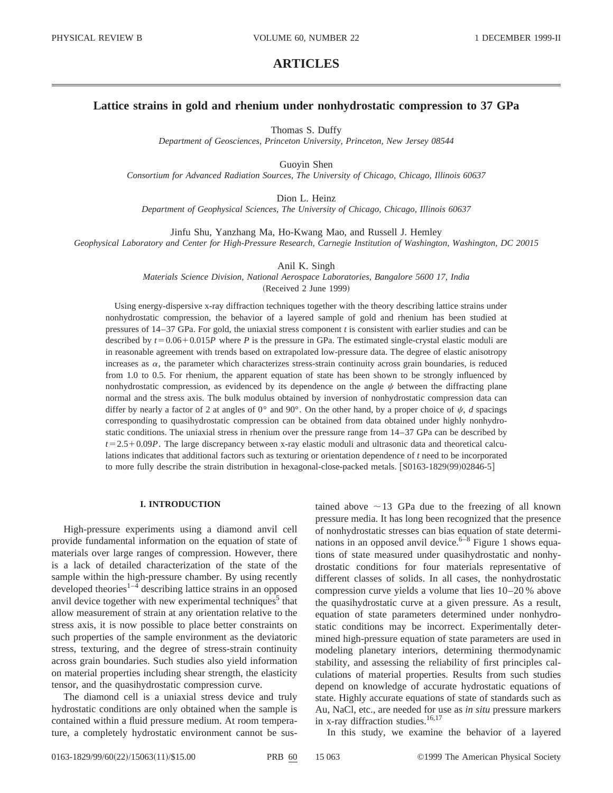# **ARTICLES**

## **Lattice strains in gold and rhenium under nonhydrostatic compression to 37 GPa**

Thomas S. Duffy

*Department of Geosciences, Princeton University, Princeton, New Jersey 08544*

Guoyin Shen *Consortium for Advanced Radiation Sources, The University of Chicago, Chicago, Illinois 60637*

Dion L. Heinz

*Department of Geophysical Sciences, The University of Chicago, Chicago, Illinois 60637*

Jinfu Shu, Yanzhang Ma, Ho-Kwang Mao, and Russell J. Hemley *Geophysical Laboratory and Center for High-Pressure Research, Carnegie Institution of Washington, Washington, DC 20015*

Anil K. Singh

*Materials Science Division, National Aerospace Laboratories, Bangalore 5600 17, India*

(Received 2 June 1999)

Using energy-dispersive x-ray diffraction techniques together with the theory describing lattice strains under nonhydrostatic compression, the behavior of a layered sample of gold and rhenium has been studied at pressures of 14–37 GPa. For gold, the uniaxial stress component *t* is consistent with earlier studies and can be described by  $t = 0.06 + 0.015P$  where *P* is the pressure in GPa. The estimated single-crystal elastic moduli are in reasonable agreement with trends based on extrapolated low-pressure data. The degree of elastic anisotropy increases as  $\alpha$ , the parameter which characterizes stress-strain continuity across grain boundaries, is reduced from 1.0 to 0.5. For rhenium, the apparent equation of state has been shown to be strongly influenced by nonhydrostatic compression, as evidenced by its dependence on the angle  $\psi$  between the diffracting plane normal and the stress axis. The bulk modulus obtained by inversion of nonhydrostatic compression data can differ by nearly a factor of 2 at angles of  $0^{\circ}$  and  $90^{\circ}$ . On the other hand, by a proper choice of  $\psi$ , *d* spacings corresponding to quasihydrostatic compression can be obtained from data obtained under highly nonhydrostatic conditions. The uniaxial stress in rhenium over the pressure range from 14–37 GPa can be described by  $t=2.5+0.09P$ . The large discrepancy between x-ray elastic moduli and ultrasonic data and theoretical calculations indicates that additional factors such as texturing or orientation dependence of *t* need to be incorporated to more fully describe the strain distribution in hexagonal-close-packed metals. [S0163-1829(99)02846-5]

#### **I. INTRODUCTION**

High-pressure experiments using a diamond anvil cell provide fundamental information on the equation of state of materials over large ranges of compression. However, there is a lack of detailed characterization of the state of the sample within the high-pressure chamber. By using recently developed theories $1-4$  describing lattice strains in an opposed anvil device together with new experimental techniques<sup>5</sup> that allow measurement of strain at any orientation relative to the stress axis, it is now possible to place better constraints on such properties of the sample environment as the deviatoric stress, texturing, and the degree of stress-strain continuity across grain boundaries. Such studies also yield information on material properties including shear strength, the elasticity tensor, and the quasihydrostatic compression curve.

The diamond cell is a uniaxial stress device and truly hydrostatic conditions are only obtained when the sample is contained within a fluid pressure medium. At room temperature, a completely hydrostatic environment cannot be sustained above  $\sim$ 13 GPa due to the freezing of all known pressure media. It has long been recognized that the presence of nonhydrostatic stresses can bias equation of state determinations in an opposed anvil device. $6-8$  Figure 1 shows equations of state measured under quasihydrostatic and nonhydrostatic conditions for four materials representative of different classes of solids. In all cases, the nonhydrostatic compression curve yields a volume that lies 10–20 % above the quasihydrostatic curve at a given pressure. As a result, equation of state parameters determined under nonhydrostatic conditions may be incorrect. Experimentally determined high-pressure equation of state parameters are used in modeling planetary interiors, determining thermodynamic stability, and assessing the reliability of first principles calculations of material properties. Results from such studies depend on knowledge of accurate hydrostatic equations of state. Highly accurate equations of state of standards such as Au, NaCl, etc., are needed for use as *in situ* pressure markers in x-ray diffraction studies.<sup>16,17</sup>

In this study, we examine the behavior of a layered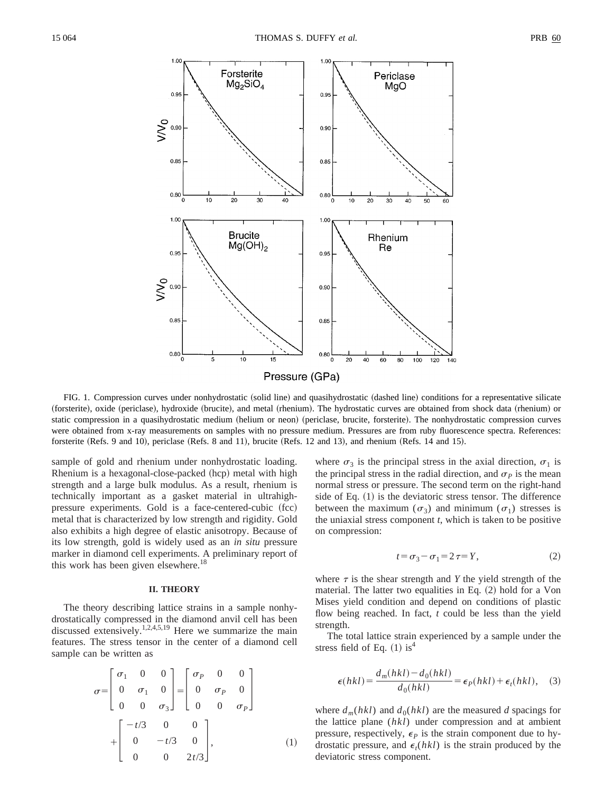

FIG. 1. Compression curves under nonhydrostatic (solid line) and quasihydrostatic (dashed line) conditions for a representative silicate (forsterite), oxide (periclase), hydroxide (brucite), and metal (rhenium). The hydrostatic curves are obtained from shock data (rhenium) or static compression in a quasihydrostatic medium (helium or neon) (periclase, brucite, forsterite). The nonhydrostatic compression curves were obtained from x-ray measurements on samples with no pressure medium. Pressures are from ruby fluorescence spectra. References: forsterite (Refs. 9 and 10), periclase (Refs. 8 and 11), brucite (Refs. 12 and 13), and rhenium (Refs. 14 and 15).

sample of gold and rhenium under nonhydrostatic loading. Rhenium is a hexagonal-close-packed (hcp) metal with high strength and a large bulk modulus. As a result, rhenium is technically important as a gasket material in ultrahighpressure experiments. Gold is a face-centered-cubic (fcc) metal that is characterized by low strength and rigidity. Gold also exhibits a high degree of elastic anisotropy. Because of its low strength, gold is widely used as an *in situ* pressure marker in diamond cell experiments. A preliminary report of this work has been given elsewhere.<sup>18</sup>

## **II. THEORY**

The theory describing lattice strains in a sample nonhydrostatically compressed in the diamond anvil cell has been discussed extensively.<sup>1,2,4,5,19</sup> Here we summarize the main features. The stress tensor in the center of a diamond cell sample can be written as

$$
\sigma = \begin{bmatrix} \sigma_1 & 0 & 0 \\ 0 & \sigma_1 & 0 \\ 0 & 0 & \sigma_3 \end{bmatrix} = \begin{bmatrix} \sigma_P & 0 & 0 \\ 0 & \sigma_P & 0 \\ 0 & 0 & \sigma_P \end{bmatrix}
$$

$$
+ \begin{bmatrix} -t/3 & 0 & 0 \\ 0 & -t/3 & 0 \\ 0 & 0 & 2t/3 \end{bmatrix}, \qquad (1)
$$

where  $\sigma_3$  is the principal stress in the axial direction,  $\sigma_1$  is the principal stress in the radial direction, and  $\sigma_p$  is the mean normal stress or pressure. The second term on the right-hand side of Eq.  $(1)$  is the deviatoric stress tensor. The difference between the maximum  $(\sigma_3)$  and minimum  $(\sigma_1)$  stresses is the uniaxial stress component *t*, which is taken to be positive on compression:

$$
t = \sigma_3 - \sigma_1 = 2\tau = Y,\tag{2}
$$

where  $\tau$  is the shear strength and *Y* the yield strength of the material. The latter two equalities in Eq.  $(2)$  hold for a Von Mises yield condition and depend on conditions of plastic flow being reached. In fact, *t* could be less than the yield strength.

The total lattice strain experienced by a sample under the stress field of Eq.  $(1)$  is<sup>4</sup>

$$
\epsilon(hkl) = \frac{d_m(hkl) - d_0(hkl)}{d_0(hkl)} = \epsilon_P(hkl) + \epsilon_t(hkl), \quad (3)
$$

where  $d_m(hkl)$  and  $d_0(hkl)$  are the measured *d* spacings for the lattice plane (*hkl*) under compression and at ambient pressure, respectively,  $\epsilon_p$  is the strain component due to hydrostatic pressure, and  $\epsilon_t(hkl)$  is the strain produced by the deviatoric stress component.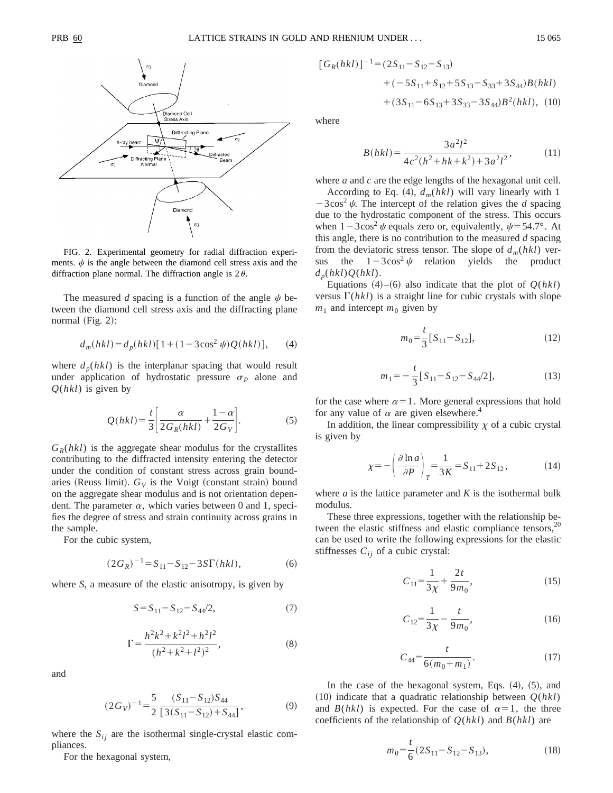

FIG. 2. Experimental geometry for radial diffraction experiments.  $\psi$  is the angle between the diamond cell stress axis and the diffraction plane normal. The diffraction angle is  $2\theta$ .

The measured *d* spacing is a function of the angle  $\psi$  between the diamond cell stress axis and the diffracting plane normal (Fig. 2):

$$
d_m(hkl) = d_p(hkl)[1 + (1 - 3\cos^2\psi)Q(hkl)],
$$
 (4)

where  $d_p(hkl)$  is the interplanar spacing that would result under application of hydrostatic pressure  $\sigma_P$  alone and *Q*(*hkl*) is given by

$$
Q(hkl) = \frac{t}{3} \left[ \frac{\alpha}{2G_R(hkl)} + \frac{1-\alpha}{2G_V} \right].
$$
 (5)

 $G_R(hkl)$  is the aggregate shear modulus for the crystallites contributing to the diffracted intensity entering the detector under the condition of constant stress across grain boundaries (Reuss limit).  $G_V$  is the Voigt (constant strain) bound on the aggregate shear modulus and is not orientation dependent. The parameter  $\alpha$ , which varies between 0 and 1, specifies the degree of stress and strain continuity across grains in the sample.

For the cubic system,

$$
(2G_R)^{-1} = S_{11} - S_{12} - 3S\Gamma(hkl),
$$
 (6)

where *S*, a measure of the elastic anisotropy, is given by

$$
S = S_{11} - S_{12} - S_{44}/2, \tag{7}
$$

$$
\Gamma = \frac{h^2 k^2 + k^2 l^2 + h^2 l^2}{(h^2 + k^2 + l^2)^2},\tag{8}
$$

and

$$
(2G_V)^{-1} = \frac{5}{2} \frac{(S_{11} - S_{12})S_{44}}{[3(S_{11} - S_{12}) + S_{44}]},
$$
(9)

where the  $S_{ij}$  are the isothermal single-crystal elastic compliances.

For the hexagonal system,

$$
[G_R(hkl)]^{-1} = (2S_{11} - S_{12} - S_{13})
$$
  
+  $(-5S_{11} + S_{12} + 5S_{13} - S_{33} + 3S_{44})B(hkl)$   
+  $(3S_{11} - 6S_{13} + 3S_{33} - 3S_{44})B^2(hkl)$ , (10)

where

$$
B(hkl) = \frac{3a^2l^2}{4c^2(h^2 + hk + k^2) + 3a^2l^2},
$$
\n(11)

where *a* and *c* are the edge lengths of the hexagonal unit cell.

According to Eq. (4),  $d_m(hkl)$  will vary linearly with 1  $-3\cos^2 \psi$ . The intercept of the relation gives the *d* spacing due to the hydrostatic component of the stress. This occurs when  $1-3\cos^2\psi$  equals zero or, equivalently,  $\psi = 54.7^\circ$ . At this angle, there is no contribution to the measured *d* spacing from the deviatoric stress tensor. The slope of  $d_m(hkl)$  versus the  $1-3\cos^2 \psi$  relation yields the product  $d_p(hkl)Q(hkl)$ .

Equations  $(4)$ – $(6)$  also indicate that the plot of  $Q(hkl)$ versus  $\Gamma(hkl)$  is a straight line for cubic crystals with slope  $m_1$  and intercept  $m_0$  given by

$$
m_0 = \frac{t}{3} [S_{11} - S_{12}], \tag{12}
$$

$$
m_1 = -\frac{t}{3} [S_{11} - S_{12} - S_{44}/2],
$$
\n(13)

for the case where  $\alpha=1$ . More general expressions that hold for any value of  $\alpha$  are given elsewhere.<sup>4</sup>

In addition, the linear compressibility  $\chi$  of a cubic crystal is given by

$$
\chi = -\left(\frac{\partial \ln a}{\partial P}\right)_T = \frac{1}{3K} = S_{11} + 2S_{12},\tag{14}
$$

where  $a$  is the lattice parameter and  $K$  is the isothermal bulk modulus.

These three expressions, together with the relationship between the elastic stiffness and elastic compliance tensors, $20$ can be used to write the following expressions for the elastic stiffnesses  $C_{ij}$  of a cubic crystal:

$$
C_{11} = \frac{1}{3\chi} + \frac{2t}{9m_0},\tag{15}
$$

$$
C_{12} = \frac{1}{3\chi} - \frac{t}{9m_0},\tag{16}
$$

$$
C_{44} = \frac{t}{6(m_0 + m_1)}.\tag{17}
$$

In the case of the hexagonal system, Eqs.  $(4)$ ,  $(5)$ , and  $(10)$  indicate that a quadratic relationship between  $Q(hkl)$ and *B*(*hkl*) is expected. For the case of  $\alpha=1$ , the three coefficients of the relationship of *Q*(*hkl*) and *B*(*hkl*) are

$$
m_0 = \frac{t}{6} (2S_{11} - S_{12} - S_{13}),
$$
\n(18)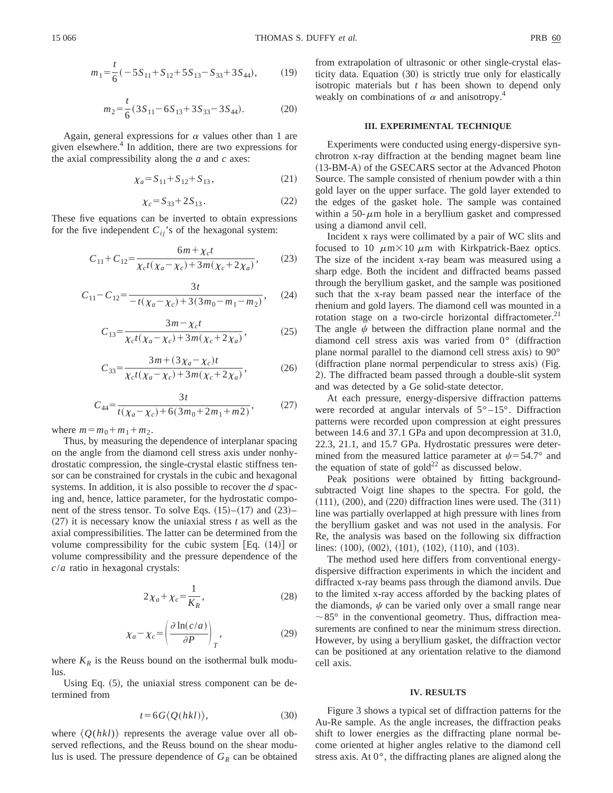$$
m_1 = \frac{t}{6}(-5S_{11} + S_{12} + 5S_{13} - S_{33} + 3S_{44}),
$$
 (19)

$$
m_2 = \frac{t}{6} (3S_{11} - 6S_{13} + 3S_{33} - 3S_{44}).
$$
 (20)

Again, general expressions for  $\alpha$  values other than 1 are given elsewhere.<sup>4</sup> In addition, there are two expressions for the axial compressibility along the *a* and *c* axes:

$$
\chi_a = S_{11} + S_{12} + S_{13},\tag{21}
$$

$$
\chi_c = S_{33} + 2S_{13} \,. \tag{22}
$$

These five equations can be inverted to obtain expressions for the five independent  $C_{ij}$ 's of the hexagonal system:

$$
C_{11} + C_{12} = \frac{6m + \chi_c t}{\chi_c t (\chi_a - \chi_c) + 3m(\chi_c + 2\chi_a)},
$$
 (23)

$$
C_{11} - C_{12} = \frac{3t}{-t(\chi_a - \chi_c) + 3(3m_0 - m_1 - m_2)},\qquad(24)
$$

$$
C_{13} = \frac{3m - \chi_c t}{\chi_c t (\chi_a - \chi_c) + 3m(\chi_c + 2\chi_a)},
$$
(25)

$$
C_{33} = \frac{3m + (3\chi_a - \chi_c)t}{\chi_c t (\chi_a - \chi_c) + 3m(\chi_c + 2\chi_a)},
$$
(26)

$$
C_{44} = \frac{3t}{t(\chi_a - \chi_c) + 6(3m_0 + 2m_1 + m_2)},
$$
 (27)

where  $m = m_0 + m_1 + m_2$ .

Thus, by measuring the dependence of interplanar spacing on the angle from the diamond cell stress axis under nonhydrostatic compression, the single-crystal elastic stiffness tensor can be constrained for crystals in the cubic and hexagonal systems. In addition, it is also possible to recover the *d* spacing and, hence, lattice parameter, for the hydrostatic component of the stress tensor. To solve Eqs.  $(15)–(17)$  and  $(23)–$  $(27)$  it is necessary know the uniaxial stress *t* as well as the axial compressibilities. The latter can be determined from the volume compressibility for the cubic system  $[Eq. (14)]$  or volume compressibility and the pressure dependence of the *c*/*a* ratio in hexagonal crystals:

$$
2\chi_a + \chi_c = \frac{1}{K_R},\tag{28}
$$

$$
\chi_a - \chi_c = \left(\frac{\partial \ln(c/a)}{\partial P}\right)_T, \tag{29}
$$

where  $K_R$  is the Reuss bound on the isothermal bulk modulus.

Using Eq.  $(5)$ , the uniaxial stress component can be determined from

$$
t = 6G \langle Q(hkl) \rangle, \tag{30}
$$

where  $\langle O(hkl)\rangle$  represents the average value over all observed reflections, and the Reuss bound on the shear modulus is used. The pressure dependence of  $G_R$  can be obtained from extrapolation of ultrasonic or other single-crystal elasticity data. Equation  $(30)$  is strictly true only for elastically isotropic materials but *t* has been shown to depend only weakly on combinations of  $\alpha$  and anisotropy.<sup>4</sup>

### **III. EXPERIMENTAL TECHNIQUE**

Experiments were conducted using energy-dispersive synchrotron x-ray diffraction at the bending magnet beam line (13-BM-A) of the GSECARS sector at the Advanced Photon Source. The sample consisted of rhenium powder with a thin gold layer on the upper surface. The gold layer extended to the edges of the gasket hole. The sample was contained within a 50- $\mu$ m hole in a beryllium gasket and compressed using a diamond anvil cell.

Incident x rays were collimated by a pair of WC slits and focused to 10  $\mu$ m $\times$ 10  $\mu$ m with Kirkpatrick-Baez optics. The size of the incident x-ray beam was measured using a sharp edge. Both the incident and diffracted beams passed through the beryllium gasket, and the sample was positioned such that the x-ray beam passed near the interface of the rhenium and gold layers. The diamond cell was mounted in a rotation stage on a two-circle horizontal diffractometer.<sup>21</sup> The angle  $\psi$  between the diffraction plane normal and the diamond cell stress axis was varied from  $0^{\circ}$  (diffraction plane normal parallel to the diamond cell stress axis) to  $90^{\circ}$ (diffraction plane normal perpendicular to stress axis) (Fig. 2). The diffracted beam passed through a double-slit system and was detected by a Ge solid-state detector.

At each pressure, energy-dispersive diffraction patterns were recorded at angular intervals of  $5^{\circ}$ -15°. Diffraction patterns were recorded upon compression at eight pressures between 14.6 and 37.1 GPa and upon decompression at 31.0, 22.3, 21.1, and 15.7 GPa. Hydrostatic pressures were determined from the measured lattice parameter at  $\psi$  = 54.7° and the equation of state of  $\text{gold}^{22}$  as discussed below.

Peak positions were obtained by fitting backgroundsubtracted Voigt line shapes to the spectra. For gold, the  $(111), (200),$  and  $(220)$  diffraction lines were used. The  $(311)$ line was partially overlapped at high pressure with lines from the beryllium gasket and was not used in the analysis. For Re, the analysis was based on the following six diffraction lines:  $(100)$ ,  $(002)$ ,  $(101)$ ,  $(102)$ ,  $(110)$ , and  $(103)$ .

The method used here differs from conventional energydispersive diffraction experiments in which the incident and diffracted x-ray beams pass through the diamond anvils. Due to the limited x-ray access afforded by the backing plates of the diamonds,  $\psi$  can be varied only over a small range near  $\sim$ 85° in the conventional geometry. Thus, diffraction measurements are confined to near the minimum stress direction. However, by using a beryllium gasket, the diffraction vector can be positioned at any orientation relative to the diamond cell axis.

#### **IV. RESULTS**

Figure 3 shows a typical set of diffraction patterns for the Au-Re sample. As the angle increases, the diffraction peaks shift to lower energies as the diffracting plane normal become oriented at higher angles relative to the diamond cell stress axis. At 0°, the diffracting planes are aligned along the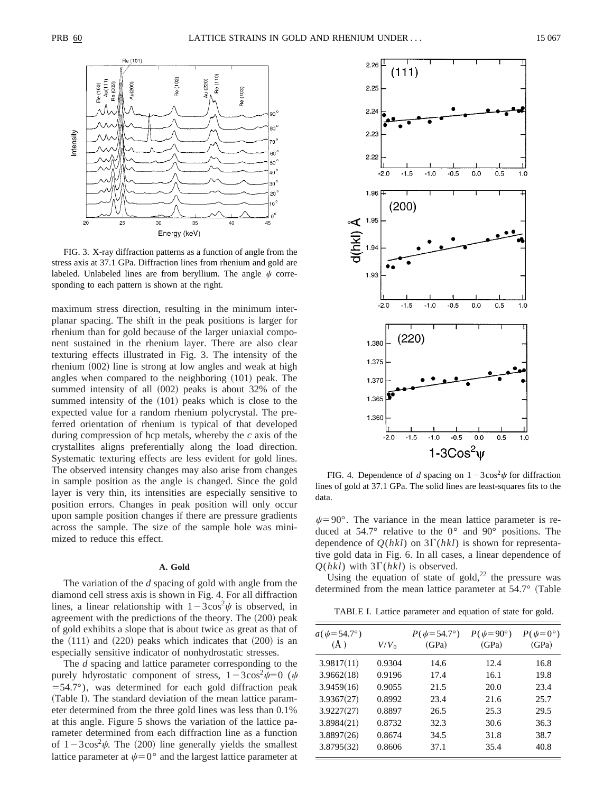

FIG. 3. X-ray diffraction patterns as a function of angle from the stress axis at 37.1 GPa. Diffraction lines from rhenium and gold are labeled. Unlabeled lines are from beryllium. The angle  $\psi$  corresponding to each pattern is shown at the right.

maximum stress direction, resulting in the minimum interplanar spacing. The shift in the peak positions is larger for rhenium than for gold because of the larger uniaxial component sustained in the rhenium layer. There are also clear texturing effects illustrated in Fig. 3. The intensity of the rhenium  $(002)$  line is strong at low angles and weak at high angles when compared to the neighboring  $(101)$  peak. The summed intensity of all  $(002)$  peaks is about 32% of the summed intensity of the  $(101)$  peaks which is close to the expected value for a random rhenium polycrystal. The preferred orientation of rhenium is typical of that developed during compression of hcp metals, whereby the *c* axis of the crystallites aligns preferentially along the load direction. Systematic texturing effects are less evident for gold lines. The observed intensity changes may also arise from changes in sample position as the angle is changed. Since the gold layer is very thin, its intensities are especially sensitive to position errors. Changes in peak position will only occur upon sample position changes if there are pressure gradients across the sample. The size of the sample hole was minimized to reduce this effect.

## **A. Gold**

The variation of the *d* spacing of gold with angle from the diamond cell stress axis is shown in Fig. 4. For all diffraction lines, a linear relationship with  $1-3\cos^2\psi$  is observed, in agreement with the predictions of the theory. The  $(200)$  peak of gold exhibits a slope that is about twice as great as that of the  $(111)$  and  $(220)$  peaks which indicates that  $(200)$  is an especially sensitive indicator of nonhydrostatic stresses.

The *d* spacing and lattice parameter corresponding to the purely hdyrostatic component of stress,  $1-3\cos^2 \psi = 0$  ( $\psi$  $=$  54.7 $\degree$ ), was determined for each gold diffraction peak (Table I). The standard deviation of the mean lattice parameter determined from the three gold lines was less than 0.1% at this angle. Figure 5 shows the variation of the lattice parameter determined from each diffraction line as a function of  $1-3\cos^2\psi$ . The (200) line generally yields the smallest lattice parameter at  $\psi=0^{\circ}$  and the largest lattice parameter at



FIG. 4. Dependence of *d* spacing on  $1-3\cos^2\psi$  for diffraction lines of gold at 37.1 GPa. The solid lines are least-squares fits to the data.

 $\psi$ =90°. The variance in the mean lattice parameter is reduced at 54.7° relative to the 0° and 90° positions. The dependence of  $Q(hkl)$  on  $3\Gamma(hkl)$  is shown for representative gold data in Fig. 6. In all cases, a linear dependence of  $Q(hkl)$  with  $3\Gamma(hkl)$  is observed.

Using the equation of state of gold, $22$  the pressure was determined from the mean lattice parameter at  $54.7^\circ$  (Table

TABLE I. Lattice parameter and equation of state for gold.

| 3.9817(11)<br>0.9304<br>12.4<br>14.6<br>3.9662(18)<br>0.9196<br>17.4<br>16.1<br>3.9459(16)<br>0.9055<br>21.5<br>20.0<br>3.9367(27)<br>0.8992<br>23.4<br>21.6 | $P(\psi=0^{\circ})$<br>(GPa) |
|--------------------------------------------------------------------------------------------------------------------------------------------------------------|------------------------------|
|                                                                                                                                                              | 16.8                         |
|                                                                                                                                                              | 19.8                         |
|                                                                                                                                                              | 23.4                         |
|                                                                                                                                                              | 25.7                         |
| 3.9227(27)<br>0.8897<br>25.3<br>26.5                                                                                                                         | 29.5                         |
| 3.8984(21)<br>0.8732<br>32.3<br>30.6                                                                                                                         | 36.3                         |
| 3.8897(26)<br>0.8674<br>31.8<br>34.5                                                                                                                         | 38.7                         |
| 3.8795(32)<br>0.8606<br>35.4<br>37.1                                                                                                                         | 40.8                         |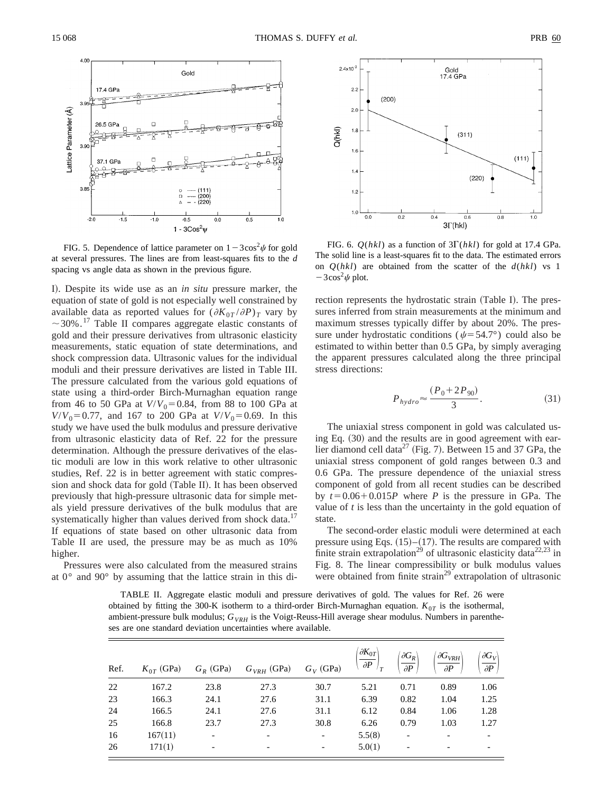

FIG. 5. Dependence of lattice parameter on  $1-3\cos^2\psi$  for gold at several pressures. The lines are from least-squares fits to the *d* spacing vs angle data as shown in the previous figure.

I). Despite its wide use as an *in situ* pressure marker, the equation of state of gold is not especially well constrained by available data as reported values for  $(\partial K_{0T}/\partial P)_T$  vary by  $\sim$ 30%.<sup>17</sup> Table II compares aggregate elastic constants of gold and their pressure derivatives from ultrasonic elasticity measurements, static equation of state determinations, and shock compression data. Ultrasonic values for the individual moduli and their pressure derivatives are listed in Table III. The pressure calculated from the various gold equations of state using a third-order Birch-Murnaghan equation range from 46 to 50 GPa at  $V/V_0 = 0.84$ , from 88 to 100 GPa at  $V/V_0 = 0.77$ , and 167 to 200 GPa at  $V/V_0 = 0.69$ . In this study we have used the bulk modulus and pressure derivative from ultrasonic elasticity data of Ref. 22 for the pressure determination. Although the pressure derivatives of the elastic moduli are low in this work relative to other ultrasonic studies, Ref. 22 is in better agreement with static compression and shock data for gold (Table II). It has been observed previously that high-pressure ultrasonic data for simple metals yield pressure derivatives of the bulk modulus that are systematically higher than values derived from shock data.<sup>17</sup> If equations of state based on other ultrasonic data from Table II are used, the pressure may be as much as 10% higher.

Pressures were also calculated from the measured strains at 0° and 90° by assuming that the lattice strain in this di-



FIG. 6.  $Q(hkl)$  as a function of  $3\Gamma(hkl)$  for gold at 17.4 GPa. The solid line is a least-squares fit to the data. The estimated errors on *Q*(*hkl*) are obtained from the scatter of the *d*(*hkl*) vs 1  $-3\cos^2\psi$  plot.

rection represents the hydrostatic strain (Table I). The pressures inferred from strain measurements at the minimum and maximum stresses typically differ by about 20%. The pressure under hydrostatic conditions ( $\psi$ =54.7°) could also be estimated to within better than 0.5 GPa, by simply averaging the apparent pressures calculated along the three principal stress directions:

$$
P_{hydro} \approx \frac{(P_0 + 2P_{90})}{3}.
$$
\n(31)

The uniaxial stress component in gold was calculated using Eq.  $(30)$  and the results are in good agreement with earlier diamond cell data<sup>27</sup> (Fig. 7). Between 15 and 37 GPa, the uniaxial stress component of gold ranges between 0.3 and 0.6 GPa. The pressure dependence of the uniaxial stress component of gold from all recent studies can be described by  $t=0.06+0.015P$  where *P* is the pressure in GPa. The value of *t* is less than the uncertainty in the gold equation of state.

The second-order elastic moduli were determined at each pressure using Eqs.  $(15)–(17)$ . The results are compared with finite strain extrapolation<sup>29</sup> of ultrasonic elasticity data<sup>22,23</sup> in Fig. 8. The linear compressibility or bulk modulus values were obtained from finite strain<sup>29</sup> extrapolation of ultrasonic

TABLE II. Aggregate elastic moduli and pressure derivatives of gold. The values for Ref. 26 were obtained by fitting the 300-K isotherm to a third-order Birch-Murnaghan equation.  $K_{0T}$  is the isothermal, ambient-pressure bulk modulus;  $G_{VRH}$  is the Voigt-Reuss-Hill average shear modulus. Numbers in parentheses are one standard deviation uncertainties where available.

| Ref. | $K_{0T}$ (GPa) | $G_R$ (GPa) | $G_{VRH}$ (GPa)          | $G_V$ (GPa)              | $\partial K_{0T}$<br>$\partial P$ | $\partial G_R$<br>$\partial P$ | $\partial G_{VRH}$<br>$\partial P$ | $\partial G_V$<br>$\partial P$ |
|------|----------------|-------------|--------------------------|--------------------------|-----------------------------------|--------------------------------|------------------------------------|--------------------------------|
| 22   | 167.2          | 23.8        | 27.3                     | 30.7                     | 5.21                              | 0.71                           | 0.89                               | 1.06                           |
| 23   | 166.3          | 24.1        | 27.6                     | 31.1                     | 6.39                              | 0.82                           | 1.04                               | 1.25                           |
| 24   | 166.5          | 24.1        | 27.6                     | 31.1                     | 6.12                              | 0.84                           | 1.06                               | 1.28                           |
| 25   | 166.8          | 23.7        | 27.3                     | 30.8                     | 6.26                              | 0.79                           | 1.03                               | 1.27                           |
| 16   | 167(11)        |             | $\overline{\phantom{a}}$ | $\overline{\phantom{a}}$ | 5.5(8)                            | $\overline{\phantom{a}}$       |                                    |                                |
| 26   | 171(1)         |             | $\overline{\phantom{a}}$ | $\overline{\phantom{a}}$ | 5.0(1)                            | $\overline{\phantom{a}}$       | $\overline{\phantom{a}}$           |                                |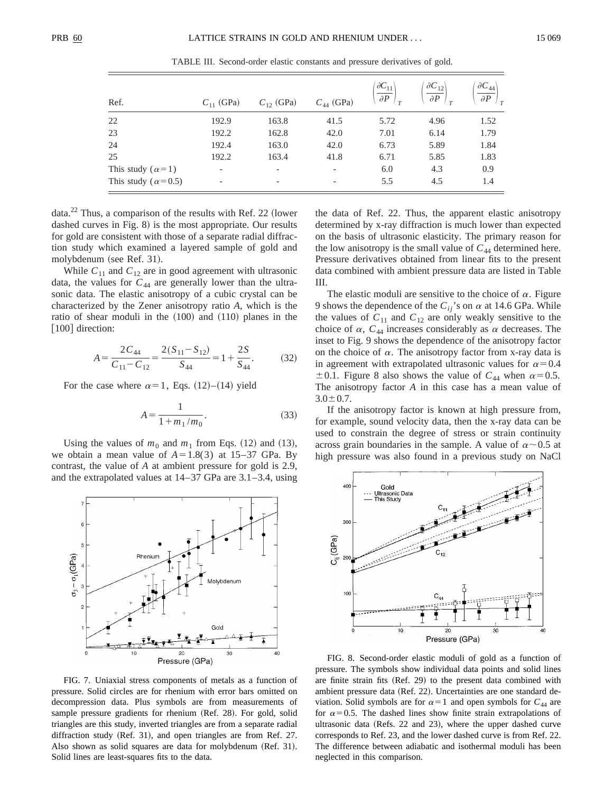| Ref.                        | $C_{11}$ (GPa) | $C_{12}$ (GPa) | $C_{44}$ (GPa)           | $\partial C_{11}$<br>$\partial P$ | $\partial C_{12}$<br>$\partial P$ | $\partial C_{44}$<br>$\partial P$ |
|-----------------------------|----------------|----------------|--------------------------|-----------------------------------|-----------------------------------|-----------------------------------|
| 22                          | 192.9          | 163.8          | 41.5                     | 5.72                              | 4.96                              | 1.52                              |
| 23                          | 192.2          | 162.8          | 42.0                     | 7.01                              | 6.14                              | 1.79                              |
| 24                          | 192.4          | 163.0          | 42.0                     | 6.73                              | 5.89                              | 1.84                              |
| 25                          | 192.2          | 163.4          | 41.8                     | 6.71                              | 5.85                              | 1.83                              |
| This study ( $\alpha$ =1)   |                |                | $\overline{\phantom{a}}$ | 6.0                               | 4.3                               | 0.9                               |
| This study ( $\alpha$ =0.5) |                |                | $\overline{\phantom{a}}$ | 5.5                               | 4.5                               | 1.4                               |

TABLE III. Second-order elastic constants and pressure derivatives of gold.

data. $^{22}$  Thus, a comparison of the results with Ref. 22 (lower dashed curves in Fig.  $8$ ) is the most appropriate. Our results for gold are consistent with those of a separate radial diffraction study which examined a layered sample of gold and molybdenum (see Ref. 31).

While  $C_{11}$  and  $C_{12}$  are in good agreement with ultrasonic data, the values for  $C_{44}$  are generally lower than the ultrasonic data. The elastic anisotropy of a cubic crystal can be characterized by the Zener anisotropy ratio *A*, which is the ratio of shear moduli in the  $(100)$  and  $(110)$  planes in the [100] direction:

$$
A = \frac{2C_{44}}{C_{11} - C_{12}} = \frac{2(S_{11} - S_{12})}{S_{44}} = 1 + \frac{2S}{S_{44}}.
$$
 (32)

For the case where  $\alpha=1$ , Eqs. (12)–(14) yield

$$
A = \frac{1}{1 + m_1/m_0}.\tag{33}
$$

Using the values of  $m_0$  and  $m_1$  from Eqs. (12) and (13), we obtain a mean value of  $A=1.8(3)$  at 15–37 GPa. By contrast, the value of *A* at ambient pressure for gold is 2.9, and the extrapolated values at 14–37 GPa are 3.1–3.4, using



FIG. 7. Uniaxial stress components of metals as a function of pressure. Solid circles are for rhenium with error bars omitted on decompression data. Plus symbols are from measurements of sample pressure gradients for rhenium (Ref. 28). For gold, solid triangles are this study, inverted triangles are from a separate radial diffraction study  $(Ref. 31)$ , and open triangles are from Ref. 27. Also shown as solid squares are data for molybdenum (Ref. 31). Solid lines are least-squares fits to the data.

the data of Ref. 22. Thus, the apparent elastic anisotropy determined by x-ray diffraction is much lower than expected on the basis of ultrasonic elasticity. The primary reason for the low anisotropy is the small value of  $C_{44}$  determined here. Pressure derivatives obtained from linear fits to the present data combined with ambient pressure data are listed in Table III.

The elastic moduli are sensitive to the choice of  $\alpha$ . Figure 9 shows the dependence of the  $C_{ij}$ 's on  $\alpha$  at 14.6 GPa. While the values of  $C_{11}$  and  $C_{12}$  are only weakly sensitive to the choice of  $\alpha$ ,  $C_{44}$  increases considerably as  $\alpha$  decreases. The inset to Fig. 9 shows the dependence of the anisotropy factor on the choice of  $\alpha$ . The anisotropy factor from x-ray data is in agreement with extrapolated ultrasonic values for  $\alpha=0.4$  $\pm$  0.1. Figure 8 also shows the value of  $C_{44}$  when  $\alpha$ = 0.5. The anisotropy factor *A* in this case has a mean value of  $3.0 \pm 0.7$ .

If the anisotropy factor is known at high pressure from, for example, sound velocity data, then the x-ray data can be used to constrain the degree of stress or strain continuity across grain boundaries in the sample. A value of  $\alpha$  ~0.5 at high pressure was also found in a previous study on NaCl



FIG. 8. Second-order elastic moduli of gold as a function of pressure. The symbols show individual data points and solid lines are finite strain fits  $(Ref. 29)$  to the present data combined with ambient pressure data (Ref. 22). Uncertainties are one standard deviation. Solid symbols are for  $\alpha=1$  and open symbols for  $C_{44}$  are for  $\alpha$ =0.5. The dashed lines show finite strain extrapolations of ultrasonic data (Refs.  $22$  and  $23$ ), where the upper dashed curve corresponds to Ref. 23, and the lower dashed curve is from Ref. 22. The difference between adiabatic and isothermal moduli has been neglected in this comparison.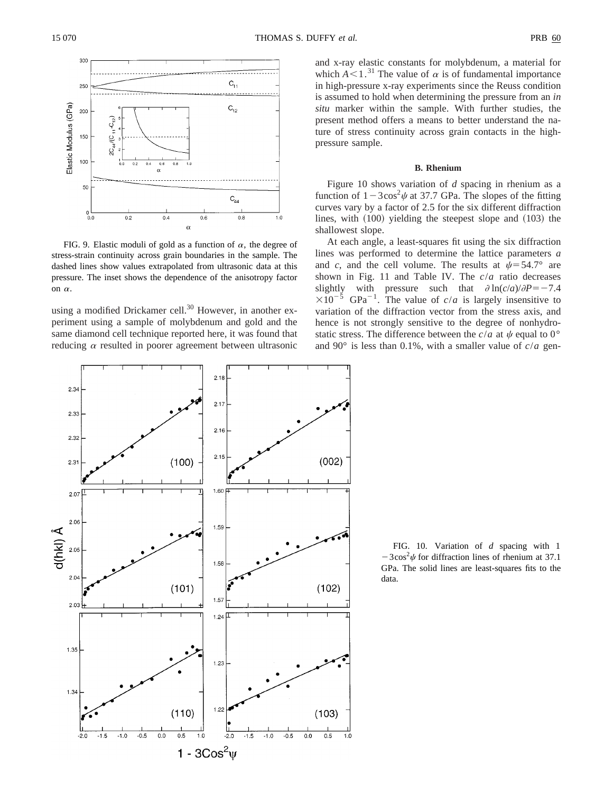

FIG. 9. Elastic moduli of gold as a function of  $\alpha$ , the degree of stress-strain continuity across grain boundaries in the sample. The dashed lines show values extrapolated from ultrasonic data at this pressure. The inset shows the dependence of the anisotropy factor on  $\alpha$ .

using a modified Drickamer cell.<sup>30</sup> However, in another experiment using a sample of molybdenum and gold and the same diamond cell technique reported here, it was found that reducing  $\alpha$  resulted in poorer agreement between ultrasonic and x-ray elastic constants for molybdenum, a material for which  $A \leq 1$ .<sup>31</sup> The value of  $\alpha$  is of fundamental importance in high-pressure x-ray experiments since the Reuss condition is assumed to hold when determining the pressure from an *in situ* marker within the sample. With further studies, the present method offers a means to better understand the nature of stress continuity across grain contacts in the highpressure sample.

#### **B. Rhenium**

Figure 10 shows variation of *d* spacing in rhenium as a function of  $1-3\cos^2\psi$  at 37.7 GPa. The slopes of the fitting curves vary by a factor of 2.5 for the six different diffraction lines, with  $(100)$  yielding the steepest slope and  $(103)$  the shallowest slope.

At each angle, a least-squares fit using the six diffraction lines was performed to determine the lattice parameters *a* and *c*, and the cell volume. The results at  $\psi = 54.7^\circ$  are shown in Fig. 11 and Table IV. The *c*/*a* ratio decreases slightly with pressure such that  $\partial \ln(c/a)/\partial P = -7.4$  $\times 10^{-5}$  GPa<sup>-1</sup>. The value of *c/a* is largely insensitive to variation of the diffraction vector from the stress axis, and hence is not strongly sensitive to the degree of nonhydrostatic stress. The difference between the  $c/a$  at  $\psi$  equal to 0° and 90 $^{\circ}$  is less than 0.1%, with a smaller value of  $c/a$  gen-



FIG. 10. Variation of *d* spacing with 1  $-3\cos^2\psi$  for diffraction lines of rhenium at 37.1 GPa. The solid lines are least-squares fits to the data.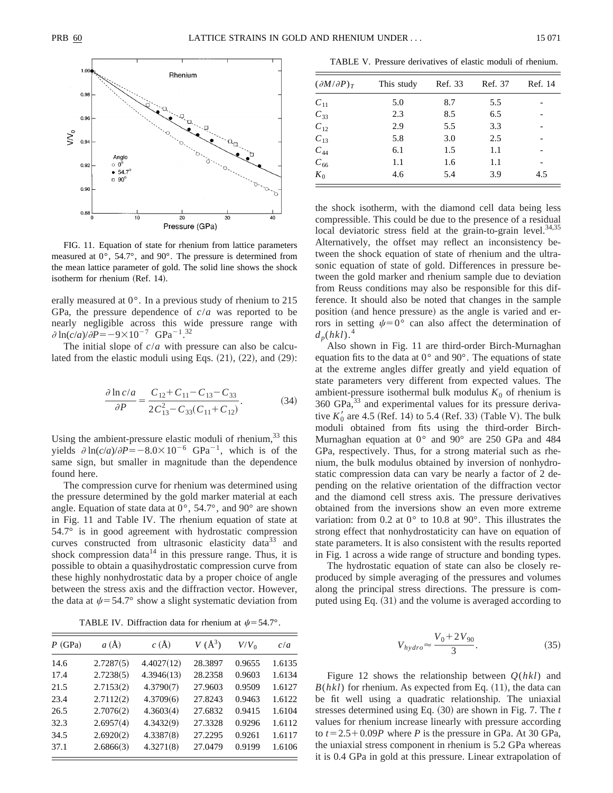

FIG. 11. Equation of state for rhenium from lattice parameters measured at 0°, 54.7°, and 90°. The pressure is determined from the mean lattice parameter of gold. The solid line shows the shock isotherm for rhenium (Ref. 14).

erally measured at 0°. In a previous study of rhenium to 215 GPa, the pressure dependence of *c*/*a* was reported to be nearly negligible across this wide pressure range with  $\partial \ln(c/a)/\partial P = -9 \times 10^{-7} \text{ GPa}^{-1}$ .<sup>32</sup>

The initial slope of *c*/*a* with pressure can also be calculated from the elastic moduli using Eqs.  $(21)$ ,  $(22)$ , and  $(29)$ :

$$
\frac{\partial \ln c/a}{\partial P} = \frac{C_{12} + C_{11} - C_{13} - C_{33}}{2C_{13}^2 - C_{33}(C_{11} + C_{12})}.
$$
 (34)

Using the ambient-pressure elastic moduli of rhenium, $33$  this yields  $\partial \ln(c/a)/\partial P = -8.0 \times 10^{-6} \text{ GPa}^{-1}$ , which is of the same sign, but smaller in magnitude than the dependence found here.

The compression curve for rhenium was determined using the pressure determined by the gold marker material at each angle. Equation of state data at 0°, 54.7°, and 90° are shown in Fig. 11 and Table IV. The rhenium equation of state at 54.7° is in good agreement with hydrostatic compression curves constructed from ultrasonic elasticity data<sup>33</sup> and shock compression data<sup>14</sup> in this pressure range. Thus, it is possible to obtain a quasihydrostatic compression curve from these highly nonhydrostatic data by a proper choice of angle between the stress axis and the diffraction vector. However, the data at  $\psi$  = 54.7° show a slight systematic deviation from

TABLE IV. Diffraction data for rhenium at  $\psi$  = 54.7°.

| $P$ (GPa) | $a(\AA)$  | $c(\AA)$   | $V(\AA^3)$ | $V/V_0$ | c/a    |
|-----------|-----------|------------|------------|---------|--------|
| 14.6      | 2.7287(5) | 4.4027(12) | 28.3897    | 0.9655  | 1.6135 |
| 17.4      | 2.7238(5) | 4.3946(13) | 28.2358    | 0.9603  | 1.6134 |
| 21.5      | 2.7153(2) | 4.3790(7)  | 27.9603    | 0.9509  | 1.6127 |
| 23.4      | 2.7112(2) | 4.3709(6)  | 27.8243    | 0.9463  | 1.6122 |
| 26.5      | 2.7076(2) | 4.3603(4)  | 27.6832    | 0.9415  | 1.6104 |
| 32.3      | 2.6957(4) | 4.3432(9)  | 27.3328    | 0.9296  | 1.6112 |
| 34.5      | 2.6920(2) | 4.3387(8)  | 27.2295    | 0.9261  | 1.6117 |
| 37.1      | 2.6866(3) | 4.3271(8)  | 27.0479    | 0.9199  | 1.6106 |

TABLE V. Pressure derivatives of elastic moduli of rhenium.

| $(\partial M/\partial P)_T$ | This study | Ref. 33 | Ref. 37 | Ref. 14 |
|-----------------------------|------------|---------|---------|---------|
| $C_{11}$                    | 5.0        | 8.7     | 5.5     |         |
| $C_{33}$                    | 2.3        | 8.5     | 6.5     |         |
| $C_{12}$                    | 2.9        | 5.5     | 3.3     |         |
| $C_{13}$                    | 5.8        | 3.0     | 2.5     |         |
| $C_{44}$                    | 6.1        | 1.5     | 1.1     |         |
| $C_{66}$                    | 1.1        | 1.6     | 1.1     |         |
| $K_0$                       | 4.6        | 5.4     | 3.9     | 4.5     |

the shock isotherm, with the diamond cell data being less compressible. This could be due to the presence of a residual local deviatoric stress field at the grain-to-grain level. $34,35$ Alternatively, the offset may reflect an inconsistency between the shock equation of state of rhenium and the ultrasonic equation of state of gold. Differences in pressure between the gold marker and rhenium sample due to deviation from Reuss conditions may also be responsible for this difference. It should also be noted that changes in the sample position (and hence pressure) as the angle is varied and errors in setting  $\psi=0^{\circ}$  can also affect the determination of  $d_p(hkl)$ <sup>4</sup>

Also shown in Fig. 11 are third-order Birch-Murnaghan equation fits to the data at  $0^{\circ}$  and  $90^{\circ}$ . The equations of state at the extreme angles differ greatly and yield equation of state parameters very different from expected values. The ambient-pressure isothermal bulk modulus  $K_0$  of rhenium is 360 GPa,<sup>33</sup> and experimental values for its pressure derivative  $K_0'$  are 4.5 (Ref. 14) to 5.4 (Ref. 33) (Table V). The bulk moduli obtained from fits using the third-order Birch-Murnaghan equation at 0° and 90° are 250 GPa and 484 GPa, respectively. Thus, for a strong material such as rhenium, the bulk modulus obtained by inversion of nonhydrostatic compression data can vary be nearly a factor of 2 depending on the relative orientation of the diffraction vector and the diamond cell stress axis. The pressure derivatives obtained from the inversions show an even more extreme variation: from 0.2 at 0° to 10.8 at 90°. This illustrates the strong effect that nonhydrostaticity can have on equation of state parameters. It is also consistent with the results reported in Fig. 1 across a wide range of structure and bonding types.

The hydrostatic equation of state can also be closely reproduced by simple averaging of the pressures and volumes along the principal stress directions. The pressure is computed using Eq.  $(31)$  and the volume is averaged according to

$$
V_{hydro} \approx \frac{V_0 + 2V_{90}}{3}.\tag{35}
$$

Figure 12 shows the relationship between *Q*(*hkl*) and  $B(hkl)$  for rhenium. As expected from Eq.  $(11)$ , the data can be fit well using a quadratic relationship. The uniaxial stresses determined using Eq.  $(30)$  are shown in Fig. 7. The *t* values for rhenium increase linearly with pressure according to  $t=2.5+0.09P$  where *P* is the pressure in GPa. At 30 GPa, the uniaxial stress component in rhenium is 5.2 GPa whereas it is 0.4 GPa in gold at this pressure. Linear extrapolation of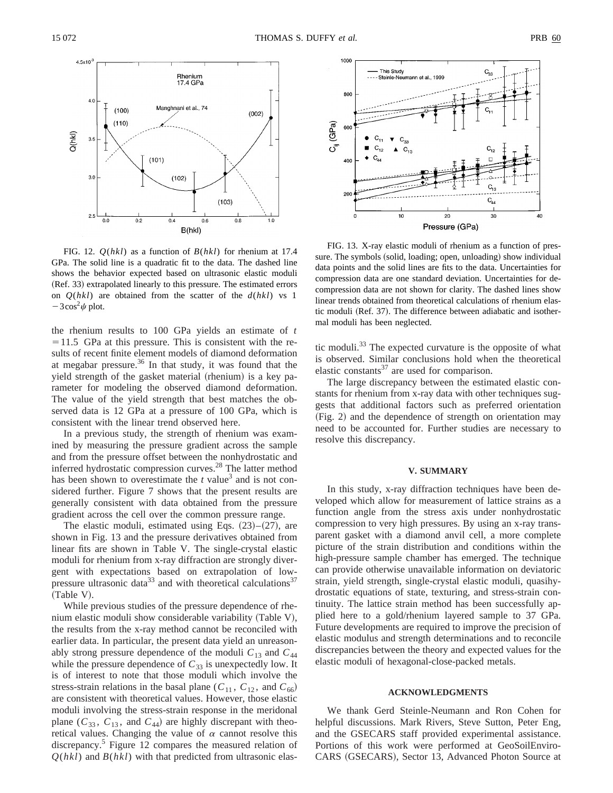

FIG. 12. *Q*(*hkl*) as a function of *B*(*hkl*) for rhenium at 17.4 GPa. The solid line is a quadratic fit to the data. The dashed line shows the behavior expected based on ultrasonic elastic moduli (Ref. 33) extrapolated linearly to this pressure. The estimated errors on *Q*(*hkl*) are obtained from the scatter of the *d*(*hkl*) vs 1  $-3\cos^2\psi$  plot.

the rhenium results to 100 GPa yields an estimate of *t*  $=11.5$  GPa at this pressure. This is consistent with the results of recent finite element models of diamond deformation at megabar pressure. $36$  In that study, it was found that the yield strength of the gasket material (rhenium) is a key parameter for modeling the observed diamond deformation. The value of the yield strength that best matches the observed data is 12 GPa at a pressure of 100 GPa, which is consistent with the linear trend observed here.

In a previous study, the strength of rhenium was examined by measuring the pressure gradient across the sample and from the pressure offset between the nonhydrostatic and inferred hydrostatic compression curves.<sup>28</sup> The latter method has been shown to overestimate the  $t$  value<sup>3</sup> and is not considered further. Figure 7 shows that the present results are generally consistent with data obtained from the pressure gradient across the cell over the common pressure range.

The elastic moduli, estimated using Eqs.  $(23)$ – $(27)$ , are shown in Fig. 13 and the pressure derivatives obtained from linear fits are shown in Table V. The single-crystal elastic moduli for rhenium from x-ray diffraction are strongly divergent with expectations based on extrapolation of lowpressure ultrasonic data<sup>33</sup> and with theoretical calculations<sup>37</sup> (Table V).

While previous studies of the pressure dependence of rhenium elastic moduli show considerable variability (Table V), the results from the x-ray method cannot be reconciled with earlier data. In particular, the present data yield an unreasonably strong pressure dependence of the moduli  $C_{13}$  and  $C_{44}$ while the pressure dependence of  $C_{33}$  is unexpectedly low. It is of interest to note that those moduli which involve the stress-strain relations in the basal plane ( $C_{11}$ ,  $C_{12}$ , and  $C_{66}$ ) are consistent with theoretical values. However, those elastic moduli involving the stress-strain response in the meridonal plane  $(C_{33}, C_{13}, \text{ and } C_{44})$  are highly discrepant with theoretical values. Changing the value of  $\alpha$  cannot resolve this discrepancy.<sup>5</sup> Figure 12 compares the measured relation of  $Q(hkl)$  and  $B(hkl)$  with that predicted from ultrasonic elas-



FIG. 13. X-ray elastic moduli of rhenium as a function of pressure. The symbols (solid, loading; open, unloading) show individual data points and the solid lines are fits to the data. Uncertainties for compression data are one standard deviation. Uncertainties for decompression data are not shown for clarity. The dashed lines show linear trends obtained from theoretical calculations of rhenium elastic moduli (Ref. 37). The difference between adiabatic and isothermal moduli has been neglected.

tic moduli.<sup>33</sup> The expected curvature is the opposite of what is observed. Similar conclusions hold when the theoretical elastic constants $37$  are used for comparison.

The large discrepancy between the estimated elastic constants for rhenium from x-ray data with other techniques suggests that additional factors such as preferred orientation (Fig. 2) and the dependence of strength on orientation may need to be accounted for. Further studies are necessary to resolve this discrepancy.

#### **V. SUMMARY**

In this study, x-ray diffraction techniques have been developed which allow for measurement of lattice strains as a function angle from the stress axis under nonhydrostatic compression to very high pressures. By using an x-ray transparent gasket with a diamond anvil cell, a more complete picture of the strain distribution and conditions within the high-pressure sample chamber has emerged. The technique can provide otherwise unavailable information on deviatoric strain, yield strength, single-crystal elastic moduli, quasihydrostatic equations of state, texturing, and stress-strain continuity. The lattice strain method has been successfully applied here to a gold/rhenium layered sample to 37 GPa. Future developments are required to improve the precision of elastic modulus and strength determinations and to reconcile discrepancies between the theory and expected values for the elastic moduli of hexagonal-close-packed metals.

#### **ACKNOWLEDGMENTS**

We thank Gerd Steinle-Neumann and Ron Cohen for helpful discussions. Mark Rivers, Steve Sutton, Peter Eng, and the GSECARS staff provided experimental assistance. Portions of this work were performed at GeoSoilEnviro-CARS (GSECARS), Sector 13, Advanced Photon Source at